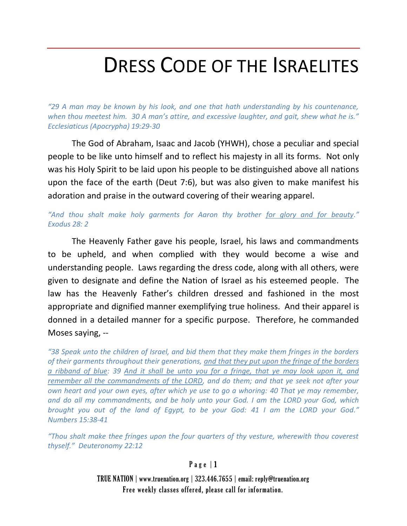# DRESS CODE OF THE ISRAELITES

*"29 A man may be known by his look, and one that hath understanding by his countenance, when thou meetest him. 30 A man's attire, and excessive laughter, and gait, shew what he is." Ecclesiaticus (Apocrypha) 19:29-30*

The God of Abraham, Isaac and Jacob (YHWH), chose a peculiar and special people to be like unto himself and to reflect his majesty in all its forms. Not only was his Holy Spirit to be laid upon his people to be distinguished above all nations upon the face of the earth (Deut 7:6), but was also given to make manifest his adoration and praise in the outward covering of their wearing apparel.

*"And thou shalt make holy garments for Aaron thy brother for glory and for beauty." Exodus 28: 2*

The Heavenly Father gave his people, Israel, his laws and commandments to be upheld, and when complied with they would become a wise and understanding people. Laws regarding the dress code, along with all others, were given to designate and define the Nation of Israel as his esteemed people. The law has the Heavenly Father's children dressed and fashioned in the most appropriate and dignified manner exemplifying true holiness. And their apparel is donned in a detailed manner for a specific purpose. Therefore, he commanded Moses saying, --

*"38 Speak unto the children of Israel, and bid them that they make them fringes in the borders of their garments throughout their generations, and that they put upon the fringe of the borders a ribband of blue: 39 And it shall be unto you for a fringe, that ye may look upon it, and remember all the commandments of the LORD, and do them; and that ye seek not after your own heart and your own eyes, after which ye use to go a whoring: 40 That ye may remember, and do all my commandments, and be holy unto your God. I am the LORD your God, which brought you out of the land of Egypt, to be your God: 41 I am the LORD your God." Numbers 15:38-41*

*"Thou shalt make thee fringes upon the four quarters of thy vesture, wherewith thou coverest thyself." Deuteronomy 22:12*

#### $P$  a g e  $|1$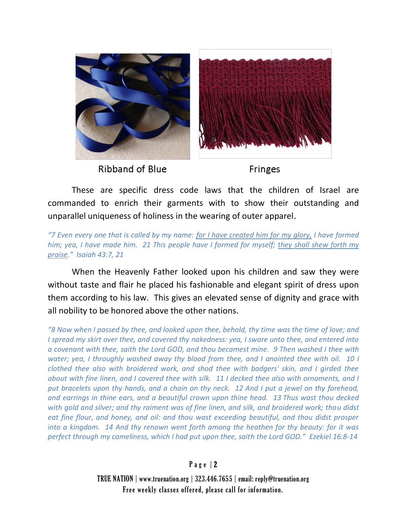

These are specific dress code laws that the children of Israel are commanded to enrich their garments with to show their outstanding and unparallel uniqueness of holiness in the wearing of outer apparel.

*"7 Even every one that is called by my name: for I have created him for my glory, I have formed him; yea, I have made him. 21 This people have I formed for myself; they shall shew forth my praise." Isaiah 43:7, 21*

When the Heavenly Father looked upon his children and saw they were without taste and flair he placed his fashionable and elegant spirit of dress upon them according to his law. This gives an elevated sense of dignity and grace with all nobility to be honored above the other nations.

*"8 Now when I passed by thee, and looked upon thee, behold, thy time was the time of love; and I spread my skirt over thee, and covered thy nakedness: yea, I sware unto thee, and entered into a covenant with thee, saith the Lord GOD, and thou becamest mine. 9 Then washed I thee with water; yea, I throughly washed away thy blood from thee, and I anointed thee with oil. 10 I clothed thee also with broidered work, and shod thee with badgers' skin, and I girded thee about with fine linen, and I covered thee with silk. 11 I decked thee also with ornaments, and I put bracelets upon thy hands, and a chain on thy neck. 12 And I put a jewel on thy forehead, and earrings in thine ears, and a beautiful crown upon thine head. 13 Thus wast thou decked with gold and silver; and thy raiment was of fine linen, and silk, and broidered work; thou didst eat fine flour, and honey, and oil: and thou wast exceeding beautiful, and thou didst prosper into a kingdom. 14 And thy renown went forth among the heathen for thy beauty: for it was perfect through my comeliness, which I had put upon thee, saith the Lord GOD." Ezekiel 16:8-14*

#### Page  $|2$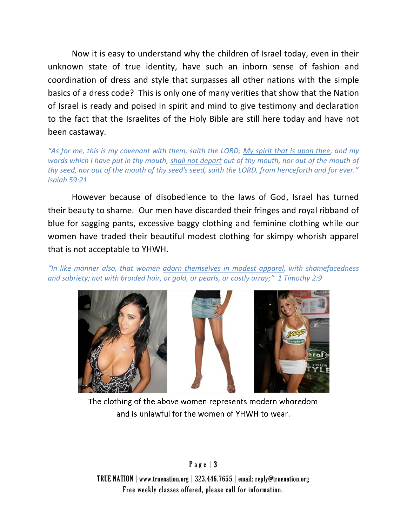Now it is easy to understand why the children of Israel today, even in their unknown state of true identity, have such an inborn sense of fashion and coordination of dress and style that surpasses all other nations with the simple basics of a dress code? This is only one of many verities that show that the Nation of Israel is ready and poised in spirit and mind to give testimony and declaration to the fact that the Israelites of the Holy Bible are still here today and have not been castaway.

*"As for me, this is my covenant with them, saith the LORD; My spirit that is upon thee, and my words which I have put in thy mouth, shall not depart out of thy mouth, nor out of the mouth of thy seed, nor out of the mouth of thy seed's seed, saith the LORD, from henceforth and for ever." Isaiah 59:21*

However because of disobedience to the laws of God, Israel has turned their beauty to shame. Our men have discarded their fringes and royal ribband of blue for sagging pants, excessive baggy clothing and feminine clothing while our women have traded their beautiful modest clothing for skimpy whorish apparel that is not acceptable to YHWH.

*"In like manner also, that women adorn themselves in modest apparel, with shamefacedness and sobriety; not with broided hair, or gold, or pearls, or costly array;" 1 Timothy 2:9*



The clothing of the above women represents modern whoredom and is unlawful for the women of YHWH to wear.

#### Page  $|3|$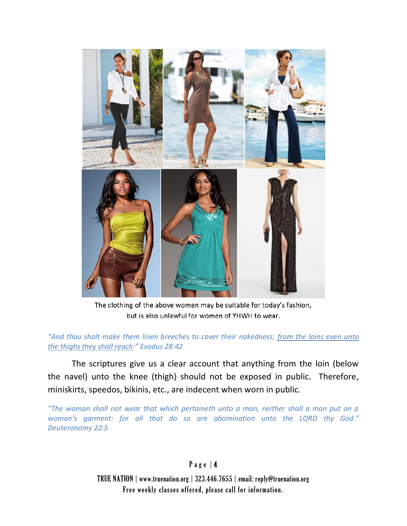

The clothing of the above women may be suitable for today's fashion, but is also unlawful for women of YHWH to wear.

*"And thou shalt make them linen breeches to cover their nakedness; from the loins even unto the thighs they shall reach:" Exodus 28:42*

The scriptures give us a clear account that anything from the loin (below the navel) unto the knee (thigh) should not be exposed in public. Therefore, miniskirts, speedos, bikinis, etc., are indecent when worn in public.

*"The woman shall not wear that which pertaineth unto a man, neither shall a man put on a woman's garment: for all that do so are abomination unto the LORD thy God." Deuteronomy 22:5*

#### Page | 4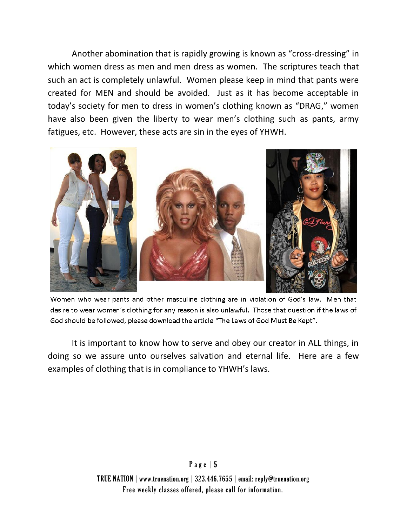Another abomination that is rapidly growing is known as "cross-dressing" in which women dress as men and men dress as women. The scriptures teach that such an act is completely unlawful. Women please keep in mind that pants were created for MEN and should be avoided. Just as it has become acceptable in today's society for men to dress in women's clothing known as "DRAG," women have also been given the liberty to wear men's clothing such as pants, army fatigues, etc. However, these acts are sin in the eyes of YHWH.



Women who wear pants and other masculine clothing are in violation of God's law. Men that desire to wear women's clothing for any reason is also unlawful. Those that question if the laws of God should be followed, please download the article "The Laws of God Must Be Kept".

It is important to know how to serve and obey our creator in ALL things, in doing so we assure unto ourselves salvation and eternal life. Here are a few examples of clothing that is in compliance to YHWH's laws.